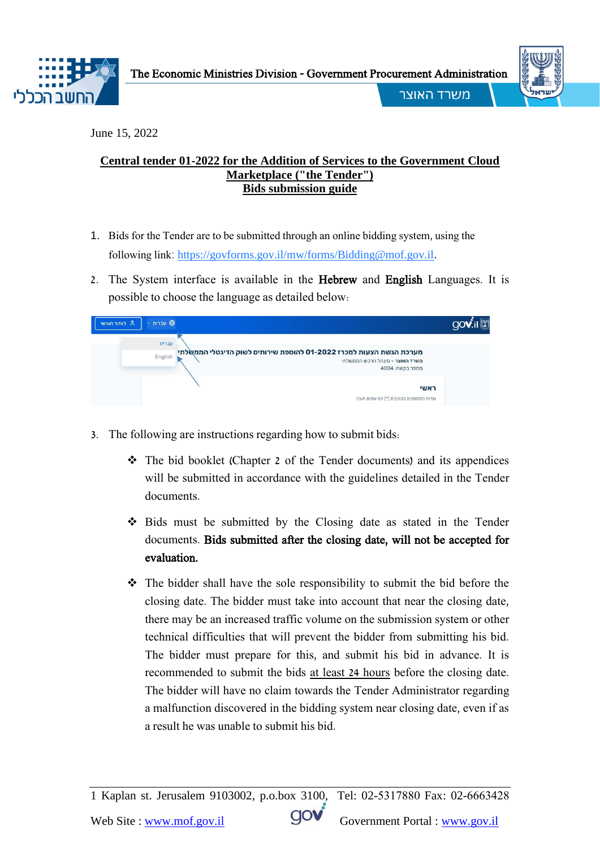



j

משרד האוצר

June 15, 2022

## **Central tender 01-2022 for the Addition of Services to the Government Cloud Marketplace ("the Tender") Bids submission guide**

- 1. Bids for the Tender are to be submitted through an online bidding system, using the following link[:](https://govforms.gov.il/mw/forms/Bidding@mof.gov.il) <https://govforms.gov.il/mw/forms/Bidding@mof.gov.il>.
- 2. The System interface is available in the Hebrew and English Languages. It is possible to choose the language as detailed below:

| ⊕ עברית<br><sup>8</sup> לאזור האישי                                                                                                 | gov |
|-------------------------------------------------------------------------------------------------------------------------------------|-----|
| עברית                                                                                                                               |     |
| מערכת הגשת הצעות למכרז 01-2022 להוספת שירותים לשוק הדיגטלי הממשלתי<br>English<br>משרד האוצר - מינהל הרכש הממשלתי<br>מספר בקשה: 4004 |     |
| ראשי<br>שדות המסומנים בכוכבית (*) הם שדות חובה                                                                                      |     |

- 3. The following are instructions regarding how to submit bids:
	- The bid booklet (Chapter 2 of the Tender documents) and its appendices will be submitted in accordance with the guidelines detailed in the Tender documents.
	- Bids must be submitted by the Closing date as stated in the Tender documents. Bids submitted after the closing date, will not be accepted for evaluation.
	- The bidder shall have the sole responsibility to submit the bid before the closing date. The bidder must take into account that near the closing date, there may be an increased traffic volume on the submission system or other technical difficulties that will prevent the bidder from submitting his bid. The bidder must prepare for this, and submit his bid in advance. It is recommended to submit the bids at least 24 hours before the closing date. The bidder will have no claim towards the Tender Administrator regarding a malfunction discovered in the bidding system near closing date, even if as a result he was unable to submit his bid.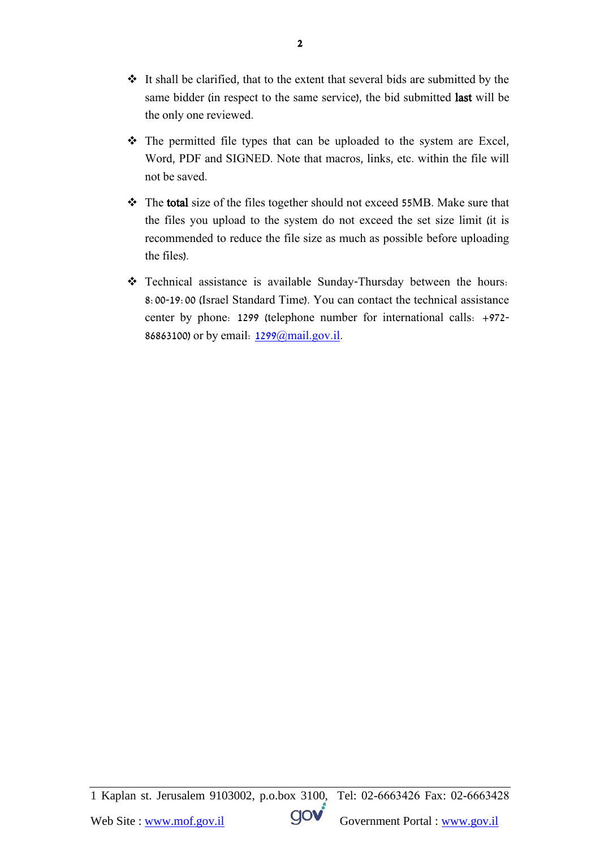- $\cdot \cdot$  It shall be clarified, that to the extent that several bids are submitted by the same bidder (in respect to the same service), the bid submitted last will be the only one reviewed.
- The permitted file types that can be uploaded to the system are Excel, Word, PDF and SIGNED. Note that macros, links, etc. within the file will not be saved.
- The total size of the files together should not exceed 55MB. Make sure that the files you upload to the system do not exceed the set size limit (it is recommended to reduce the file size as much as possible before uploading the files).
- Technical assistance is available Sunday-Thursday between the hours: 8:00-19:00 (Israel Standard Time). You can contact the technical assistance center by phone: 1299 (telephone number for international calls: +972- 86863100) or by email: [1299@mail.gov.il.](mailto:1299@mail.gov.il)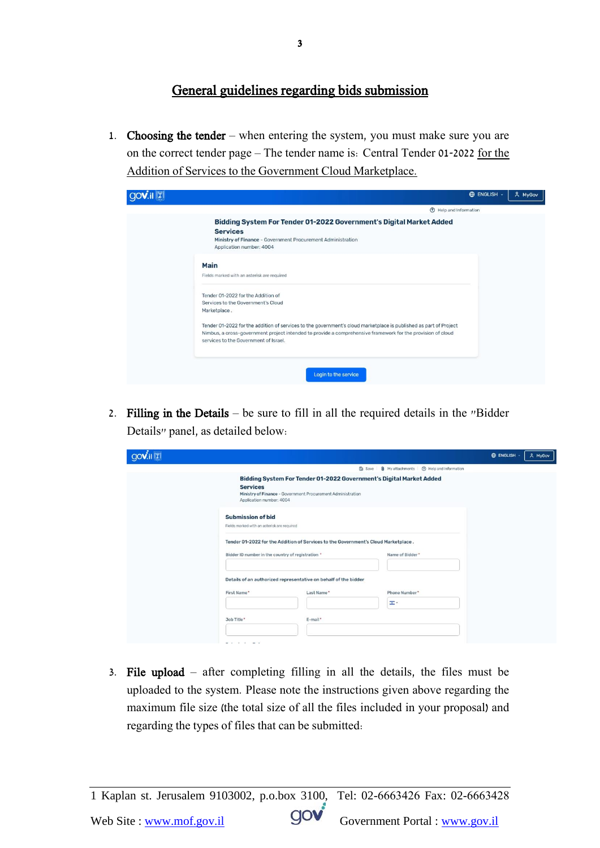## General guidelines regarding bids submission

1. Choosing the tender – when entering the system, you must make sure you are on the correct tender page – The tender name is: Central Tender 01-2022 for the Addition of Services to the Government Cloud Marketplace.

| <b>ENGLISH</b> ~<br>& MyGov                                                                                                                                                                                   |
|---------------------------------------------------------------------------------------------------------------------------------------------------------------------------------------------------------------|
| <b>2</b> Help and Information                                                                                                                                                                                 |
| Bidding System For Tender 01-2022 Government's Digital Market Added<br><b>Services</b><br>Ministry of Finance - Government Procurement Administration<br>Application number: 4004                             |
| Main<br>Fields marked with an asterisk are required                                                                                                                                                           |
| Tender 01-2022 for the Addition of<br>Services to the Government's Cloud<br>Marketplace.<br>Tender 01-2022 for the addition of services to the government's cloud marketplace is published as part of Project |
| Nimbus, a cross-government project intended to provide a comprehensive framework for the provision of cloud<br>services to the Government of Israel.                                                          |
| Login to the service                                                                                                                                                                                          |

2. Filling in the Details – be sure to fill in all the required details in the "Bidder Details" panel, as detailed below:

| <b>OOV.il</b> |                                                                         |                                                                                    |                                                                     | <b>ENGLISH</b><br>A MyGov |
|---------------|-------------------------------------------------------------------------|------------------------------------------------------------------------------------|---------------------------------------------------------------------|---------------------------|
|               |                                                                         |                                                                                    | <b>U</b> My attachments (?) Help and Information<br><b>D</b> Save   |                           |
|               | <b>Services</b><br>Application number: 4004                             | Ministry of Finance - Government Procurement Administration                        | Bidding System For Tender 01-2022 Government's Digital Market Added |                           |
|               | <b>Submission of bid</b><br>Fields marked with an asterisk are required |                                                                                    |                                                                     |                           |
|               | Bidder ID number in the country of registration *                       | Tender 01-2022 for the Addition of Services to the Government's Cloud Marketplace. | Name of Bidder*                                                     |                           |
|               | First Name*                                                             | Details of an authorized representative on behalf of the bidder<br>Last Name*      | Phone Number*                                                       |                           |
|               | Job Title*                                                              | E-mail*                                                                            | œ.                                                                  |                           |
|               | $-10$<br>$\sim$ $\cdot$                                                 |                                                                                    |                                                                     |                           |

3. File upload – after completing filling in all the details, the files must be uploaded to the system. Please note the instructions given above regarding the maximum file size (the total size of all the files included in your proposal) and regarding the types of files that can be submitted: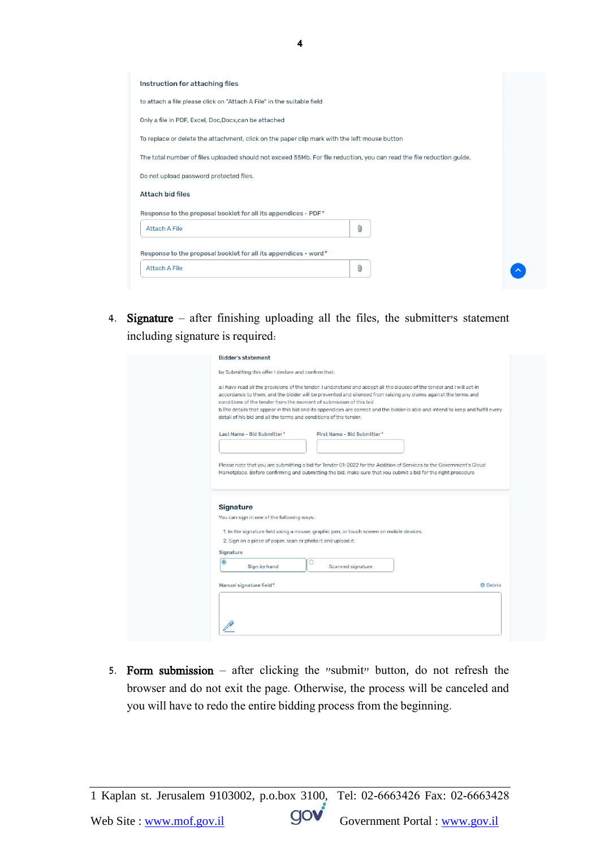| Instruction for attaching files                                                                                       |   |  |
|-----------------------------------------------------------------------------------------------------------------------|---|--|
| to attach a file please click on "Attach A File" in the suitable field                                                |   |  |
| Only a file in PDF, Excel, Doc, Docx, can be attached                                                                 |   |  |
| To replace or delete the attachment, click on the paper clip mark with the left mouse button                          |   |  |
| The total number of files uploaded should not exceed 55Mb. For file reduction, you can read the file reduction guide. |   |  |
| Do not upload password protected files.                                                                               |   |  |
| Attach bid files                                                                                                      |   |  |
| Response to the proposal booklet for all its appendices - PDF*                                                        |   |  |
| Attach A File                                                                                                         | O |  |
| Response to the proposal booklet for all its appendices - word*                                                       |   |  |
| <b>Attach A File</b>                                                                                                  | Ū |  |

4. Signature – after finishing uploading all the files, the submitter's statement including signature is required:

| a.I have read all the provisions of the tender. I understand and accept all the clauses of the tender and I will act in<br>accordance to them, and the bidder will be prevented and silenced from raising any claims against the terms and<br>conditions of the tender from the moment of submission of this bid<br>b. The details that appear in this bid and its appendices are correct and the bidder is able and intend to keep and fulfill every<br>detail of his bid and all the terms and conditions of the tender.<br>Last Name - Bid Submitter*<br>First Name - Bid Submitter*<br>Please note that you are submitting a bid for Tender 01-2022 for the Addition of Services to the Government's Cloud<br>Marketplace. Before confirming and submitting the bid, make sure that you submit a bid for the right procedure<br>Signature<br>You can sign in one of the following ways:<br>1. In the signature field using a mouse, graphic pen, or touch screen on mobile devices.<br>2. Sign on a piece of paper, scan or photo it and upload it.<br>Signature<br>$\bullet$<br>Sign by hand<br>Scanned signature<br>Manual signature field*<br><b>向</b> Delete |  |
|----------------------------------------------------------------------------------------------------------------------------------------------------------------------------------------------------------------------------------------------------------------------------------------------------------------------------------------------------------------------------------------------------------------------------------------------------------------------------------------------------------------------------------------------------------------------------------------------------------------------------------------------------------------------------------------------------------------------------------------------------------------------------------------------------------------------------------------------------------------------------------------------------------------------------------------------------------------------------------------------------------------------------------------------------------------------------------------------------------------------------------------------------------------------|--|
|                                                                                                                                                                                                                                                                                                                                                                                                                                                                                                                                                                                                                                                                                                                                                                                                                                                                                                                                                                                                                                                                                                                                                                      |  |
|                                                                                                                                                                                                                                                                                                                                                                                                                                                                                                                                                                                                                                                                                                                                                                                                                                                                                                                                                                                                                                                                                                                                                                      |  |
|                                                                                                                                                                                                                                                                                                                                                                                                                                                                                                                                                                                                                                                                                                                                                                                                                                                                                                                                                                                                                                                                                                                                                                      |  |
|                                                                                                                                                                                                                                                                                                                                                                                                                                                                                                                                                                                                                                                                                                                                                                                                                                                                                                                                                                                                                                                                                                                                                                      |  |
|                                                                                                                                                                                                                                                                                                                                                                                                                                                                                                                                                                                                                                                                                                                                                                                                                                                                                                                                                                                                                                                                                                                                                                      |  |
|                                                                                                                                                                                                                                                                                                                                                                                                                                                                                                                                                                                                                                                                                                                                                                                                                                                                                                                                                                                                                                                                                                                                                                      |  |
|                                                                                                                                                                                                                                                                                                                                                                                                                                                                                                                                                                                                                                                                                                                                                                                                                                                                                                                                                                                                                                                                                                                                                                      |  |
|                                                                                                                                                                                                                                                                                                                                                                                                                                                                                                                                                                                                                                                                                                                                                                                                                                                                                                                                                                                                                                                                                                                                                                      |  |
|                                                                                                                                                                                                                                                                                                                                                                                                                                                                                                                                                                                                                                                                                                                                                                                                                                                                                                                                                                                                                                                                                                                                                                      |  |
|                                                                                                                                                                                                                                                                                                                                                                                                                                                                                                                                                                                                                                                                                                                                                                                                                                                                                                                                                                                                                                                                                                                                                                      |  |
|                                                                                                                                                                                                                                                                                                                                                                                                                                                                                                                                                                                                                                                                                                                                                                                                                                                                                                                                                                                                                                                                                                                                                                      |  |
|                                                                                                                                                                                                                                                                                                                                                                                                                                                                                                                                                                                                                                                                                                                                                                                                                                                                                                                                                                                                                                                                                                                                                                      |  |
|                                                                                                                                                                                                                                                                                                                                                                                                                                                                                                                                                                                                                                                                                                                                                                                                                                                                                                                                                                                                                                                                                                                                                                      |  |
|                                                                                                                                                                                                                                                                                                                                                                                                                                                                                                                                                                                                                                                                                                                                                                                                                                                                                                                                                                                                                                                                                                                                                                      |  |
|                                                                                                                                                                                                                                                                                                                                                                                                                                                                                                                                                                                                                                                                                                                                                                                                                                                                                                                                                                                                                                                                                                                                                                      |  |
|                                                                                                                                                                                                                                                                                                                                                                                                                                                                                                                                                                                                                                                                                                                                                                                                                                                                                                                                                                                                                                                                                                                                                                      |  |
|                                                                                                                                                                                                                                                                                                                                                                                                                                                                                                                                                                                                                                                                                                                                                                                                                                                                                                                                                                                                                                                                                                                                                                      |  |
|                                                                                                                                                                                                                                                                                                                                                                                                                                                                                                                                                                                                                                                                                                                                                                                                                                                                                                                                                                                                                                                                                                                                                                      |  |
|                                                                                                                                                                                                                                                                                                                                                                                                                                                                                                                                                                                                                                                                                                                                                                                                                                                                                                                                                                                                                                                                                                                                                                      |  |
|                                                                                                                                                                                                                                                                                                                                                                                                                                                                                                                                                                                                                                                                                                                                                                                                                                                                                                                                                                                                                                                                                                                                                                      |  |

5. Form submission – after clicking the "submit" button, do not refresh the browser and do not exit the page. Otherwise, the process will be canceled and you will have to redo the entire bidding process from the beginning.

4